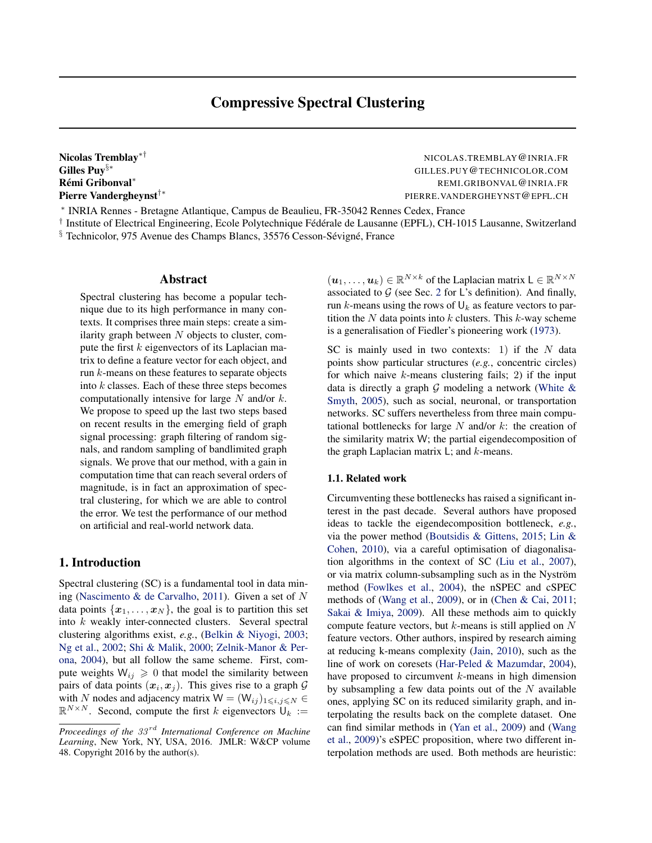Rémi Gribonval\*

Nicolas Tremblay<sup>∗†</sup> Nicolas.TREMBLAY @INRIA.FR Gilles Puy§∗ GILLES.PUY@TECHNICOLOR.COM REMI.GRIBONVAL@INRIA.FR Pierre Vandergheynst†∗ PIERRE.VANDERGHEYNST@EPFL.CH

∗ INRIA Rennes - Bretagne Atlantique, Campus de Beaulieu, FR-35042 Rennes Cedex, France

<sup>†</sup> Institute of Electrical Engineering, Ecole Polytechnique Fédérale de Lausanne (EPFL), CH-1015 Lausanne, Switzerland  $§$  Technicolor, 975 Avenue des Champs Blancs, 35576 Cesson-Sévigné, France

## Abstract

Spectral clustering has become a popular technique due to its high performance in many contexts. It comprises three main steps: create a similarity graph between  $N$  objects to cluster, compute the first  $k$  eigenvectors of its Laplacian matrix to define a feature vector for each object, and run k-means on these features to separate objects into  $k$  classes. Each of these three steps becomes computationally intensive for large  $N$  and/or  $k$ . We propose to speed up the last two steps based on recent results in the emerging field of graph signal processing: graph filtering of random signals, and random sampling of bandlimited graph signals. We prove that our method, with a gain in computation time that can reach several orders of magnitude, is in fact an approximation of spectral clustering, for which we are able to control the error. We test the performance of our method on artificial and real-world network data.

## 1. Introduction

Spectral clustering (SC) is a fundamental tool in data mining [\(Nascimento & de Carvalho,](#page-8-0) [2011\)](#page-8-0). Given a set of N data points  $\{x_1, \ldots, x_N\}$ , the goal is to partition this set into k weakly inter-connected clusters. Several spectral clustering algorithms exist, *e.g.*, [\(Belkin & Niyogi,](#page-8-0) [2003;](#page-8-0) [Ng et al.,](#page-9-0) [2002;](#page-9-0) [Shi & Malik,](#page-9-0) [2000;](#page-9-0) [Zelnik-Manor & Per](#page-9-0)[ona,](#page-9-0) [2004\)](#page-9-0), but all follow the same scheme. First, compute weights  $W_{ij} \geq 0$  that model the similarity between pairs of data points  $(x_i, x_j)$ . This gives rise to a graph  $G$ with N nodes and adjacency matrix  $W = (W_{ii})_{1 \le i,j \le N} \in$  $\mathbb{R}^{N \times N}$ . Second, compute the first k eigenvectors  $\mathbb{U}_k :=$ 

 $(\boldsymbol{u}_1, \dots, \boldsymbol{u}_k) \in \mathbb{R}^{N \times k}$  of the Laplacian matrix  $\boldsymbol{\mathsf{L}} \in \mathbb{R}^{N \times N}$ associated to  $G$  (see Sec. [2](#page-1-0) for L's definition). And finally, run k-means using the rows of  $\mathsf{U}_k$  as feature vectors to partition the  $N$  data points into  $k$  clusters. This  $k$ -way scheme is a generalisation of Fiedler's pioneering work [\(1973\)](#page-8-0).

SC is mainly used in two contexts: 1) if the  $N$  data points show particular structures (*e.g.*, concentric circles) for which naive  $k$ -means clustering fails; 2) if the input data is directly a graph  $G$  modeling a network (White  $\&$ [Smyth,](#page-9-0) [2005\)](#page-9-0), such as social, neuronal, or transportation networks. SC suffers nevertheless from three main computational bottlenecks for large  $N$  and/or  $k$ : the creation of the similarity matrix W; the partial eigendecomposition of the graph Laplacian matrix  $\mathsf{L}$ ; and  $k$ -means.

## 1.1. Related work

Circumventing these bottlenecks has raised a significant interest in the past decade. Several authors have proposed ideas to tackle the eigendecomposition bottleneck, *e.g.*, via the power method [\(Boutsidis & Gittens,](#page-8-0) [2015;](#page-8-0) [Lin &](#page-8-0) [Cohen,](#page-8-0) [2010\)](#page-8-0), via a careful optimisation of diagonalisation algorithms in the context of SC [\(Liu et al.,](#page-8-0) [2007\)](#page-8-0), or via matrix column-subsampling such as in the Nyström method [\(Fowlkes et al.,](#page-8-0) [2004\)](#page-8-0), the nSPEC and cSPEC methods of [\(Wang et al.,](#page-9-0) [2009\)](#page-9-0), or in [\(Chen & Cai,](#page-8-0) [2011;](#page-8-0) [Sakai & Imiya,](#page-9-0) [2009\)](#page-9-0). All these methods aim to quickly compute feature vectors, but  $k$ -means is still applied on  $N$ feature vectors. Other authors, inspired by research aiming at reducing k-means complexity [\(Jain,](#page-8-0) [2010\)](#page-8-0), such as the line of work on coresets [\(Har-Peled & Mazumdar,](#page-8-0) [2004\)](#page-8-0), have proposed to circumvent  $k$ -means in high dimension by subsampling a few data points out of the  $N$  available ones, applying SC on its reduced similarity graph, and interpolating the results back on the complete dataset. One can find similar methods in [\(Yan et al.,](#page-9-0) [2009\)](#page-9-0) and [\(Wang](#page-9-0) [et al.,](#page-9-0) [2009\)](#page-9-0)'s eSPEC proposition, where two different interpolation methods are used. Both methods are heuristic:

*Proceedings of the 33<sup>rd</sup> International Conference on Machine Learning*, New York, NY, USA, 2016. JMLR: W&CP volume 48. Copyright 2016 by the author(s).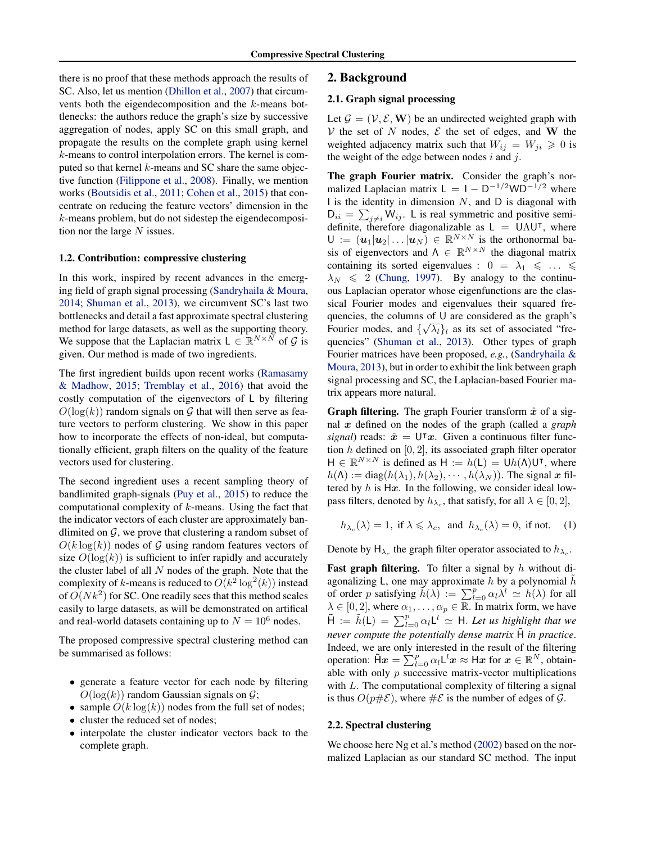<span id="page-1-0"></span>there is no proof that these methods approach the results of SC. Also, let us mention [\(Dhillon et al.,](#page-8-0) [2007\)](#page-8-0) that circumvents both the eigendecomposition and the k-means bottlenecks: the authors reduce the graph's size by successive aggregation of nodes, apply SC on this small graph, and propagate the results on the complete graph using kernel k-means to control interpolation errors. The kernel is computed so that kernel  $k$ -means and SC share the same objective function [\(Filippone et al.,](#page-8-0) [2008\)](#page-8-0). Finally, we mention works [\(Boutsidis et al.,](#page-8-0) [2011;](#page-8-0) [Cohen et al.,](#page-8-0) [2015\)](#page-8-0) that concentrate on reducing the feature vectors' dimension in the  $k$ -means problem, but do not sidestep the eigendecomposition nor the large  $N$  issues.

### 1.2. Contribution: compressive clustering

In this work, inspired by recent advances in the emerging field of graph signal processing [\(Sandryhaila & Moura,](#page-9-0) [2014;](#page-9-0) [Shuman et al.,](#page-9-0) [2013\)](#page-9-0), we circumvent SC's last two bottlenecks and detail a fast approximate spectral clustering method for large datasets, as well as the supporting theory. We suppose that the Laplacian matrix  $L \in \mathbb{R}^{N \times N}$  of G is given. Our method is made of two ingredients.

The first ingredient builds upon recent works [\(Ramasamy](#page-9-0) [& Madhow,](#page-9-0) [2015;](#page-9-0) [Tremblay et al.,](#page-9-0) [2016\)](#page-9-0) that avoid the costly computation of the eigenvectors of L by filtering  $O(\log(k))$  random signals on G that will then serve as feature vectors to perform clustering. We show in this paper how to incorporate the effects of non-ideal, but computationally efficient, graph filters on the quality of the feature vectors used for clustering.

The second ingredient uses a recent sampling theory of bandlimited graph-signals [\(Puy et al.,](#page-9-0) [2015\)](#page-9-0) to reduce the computational complexity of  $k$ -means. Using the fact that the indicator vectors of each cluster are approximately bandlimited on  $G$ , we prove that clustering a random subset of  $O(k \log(k))$  nodes of G using random features vectors of size  $O(log(k))$  is sufficient to infer rapidly and accurately the cluster label of all  $N$  nodes of the graph. Note that the complexity of k-means is reduced to  $O(k^2 \log^2(k))$  instead of  $O(Nk^2)$  for SC. One readily sees that this method scales easily to large datasets, as will be demonstrated on artifical and real-world datasets containing up to  $N = 10^6$  nodes.

The proposed compressive spectral clustering method can be summarised as follows:

- generate a feature vector for each node by filtering  $O(\log(k))$  random Gaussian signals on  $\mathcal{G}$ ;
- sample  $O(k \log(k))$  nodes from the full set of nodes;
- cluster the reduced set of nodes;
- interpolate the cluster indicator vectors back to the complete graph.

## 2. Background

### 2.1. Graph signal processing

Let  $\mathcal{G} = (\mathcal{V}, \mathcal{E}, \mathbf{W})$  be an undirected weighted graph with V the set of N nodes,  $\mathcal E$  the set of edges, and W the weighted adjacency matrix such that  $W_{ij} = W_{ji} \geq 0$  is the weight of the edge between nodes  $i$  and  $j$ .

The graph Fourier matrix. Consider the graph's normalized Laplacian matrix  $L = 1 - D^{-1/2}WD^{-1/2}$  where I is the identity in dimension  $N$ , and  $D$  is diagonal with  $D_{ii} = \sum_{j \neq i} W_{ij}$ . L is real symmetric and positive semidefinite, therefore diagonalizable as  $L = \overline{U \Lambda U^{\dagger}}$ , where  $U := (\boldsymbol{u}_1 | \boldsymbol{u}_2 | \dots | \boldsymbol{u}_N) \in \mathbb{R}^{N \times N}$  is the orthonormal basis of eigenvectors and  $\Lambda \in \mathbb{R}^{N \times N}$  the diagonal matrix containing its sorted eigenvalues :  $0 = \lambda_1 \leq \ldots \leq$  $\lambda_N \leq 2$  [\(Chung,](#page-8-0) [1997\)](#page-8-0). By analogy to the continuous Laplacian operator whose eigenfunctions are the classical Fourier modes and eigenvalues their squared frequencies, the columns of U are considered as the graph's Fourier modes, and  $\{\sqrt{\lambda_l}\}\$ l as its set of associated "frequencies" [\(Shuman et al.,](#page-9-0) [2013\)](#page-9-0). Other types of graph Fourier matrices have been proposed, *e.g.*, [\(Sandryhaila &](#page-9-0) [Moura,](#page-9-0) [2013\)](#page-9-0), but in order to exhibit the link between graph signal processing and SC, the Laplacian-based Fourier matrix appears more natural.

**Graph filtering.** The graph Fourier transform  $\hat{x}$  of a signal x defined on the nodes of the graph (called a *graph signal*) reads:  $\hat{x} = U^{\dagger}x$ . Given a continuous filter function  $h$  defined on [0, 2], its associated graph filter operator  $H \in \mathbb{R}^{N \times N}$  is defined as  $H := h(L) = Uh(\Lambda)U^{\dagger}$ , where  $h(\Lambda) := \text{diag}(h(\lambda_1), h(\lambda_2), \cdots, h(\lambda_N))$ . The signal x filtered by h is  $Hx$ . In the following, we consider ideal lowpass filters, denoted by  $h_{\lambda_c}$ , that satisfy, for all  $\lambda \in [0,2]$ ,

 $h_{\lambda_c}(\lambda) = 1$ , if  $\lambda \le \lambda_c$ , and  $h_{\lambda_c}(\lambda) = 0$ , if not. (1)

Denote by  $H_{\lambda_c}$  the graph filter operator associated to  $h_{\lambda_c}$ .

**Fast graph filtering.** To filter a signal by  $h$  without diagonalizing L, one may approximate h by a polynomial  $\hat{h}$ of order p satisfying  $\tilde{h}(\lambda) := \sum_{l=0}^{p} \alpha_l \lambda^l \simeq h(\lambda)$  for all  $\lambda \in [0, 2]$ , where  $\alpha_1, \ldots, \alpha_p \in \mathbb{R}$ . In matrix form, we have  $\tilde{H} := \tilde{h}(L) = \sum_{l=0}^{p} \alpha_l L^l \simeq H$ . Let us highlight that we *never compute the potentially dense matrix* H˜ *in practice*. Indeed, we are only interested in the result of the filtering operation:  $\tilde{H}x = \sum_{l=0}^{p} \alpha_l L^l x \approx Hx$  for  $x \in \mathbb{R}^N$ , obtainable with only  $p$  successive matrix-vector multiplications with  $L$ . The computational complexity of filtering a signal is thus  $O(p \# \mathcal{E})$ , where  $\# \mathcal{E}$  is the number of edges of  $\mathcal{G}$ .

### 2.2. Spectral clustering

We choose here Ng et al.'s method [\(2002\)](#page-9-0) based on the normalized Laplacian as our standard SC method. The input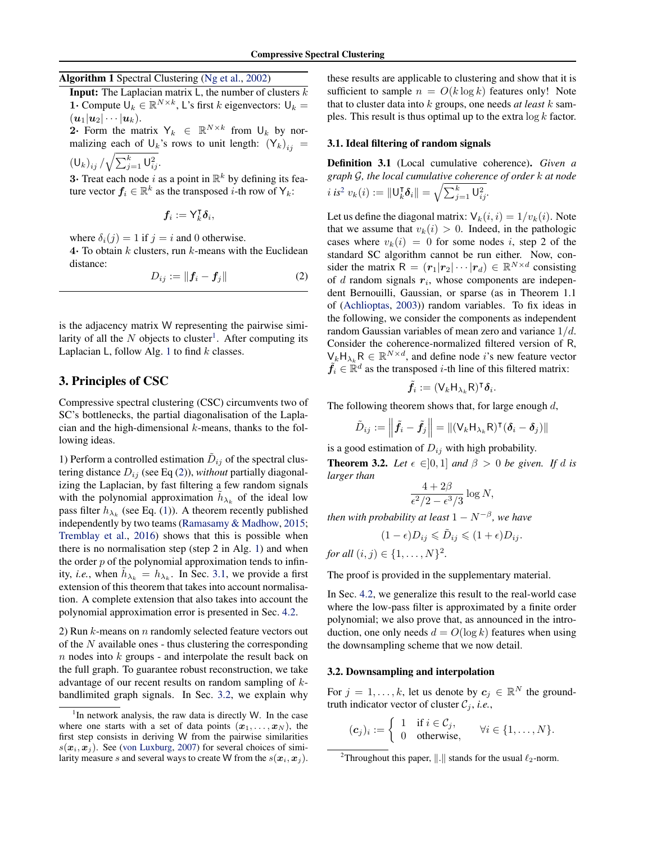## <span id="page-2-0"></span>Algorithm 1 Spectral Clustering [\(Ng et al.,](#page-9-0) [2002\)](#page-9-0)

**Input:** The Laplacian matrix  $\mathsf{L}$ , the number of clusters  $k$ 1. Compute  $\overline{U}_k \in \mathbb{R}^{N \times k}$ , L's first k eigenvectors:  $U_k =$  $(u_1|u_2|\cdots |u_k).$ 

2. Form the matrix  $Y_k \in \mathbb{R}^{N \times k}$  from  $\mathsf{U}_k$  by normalizing each of  $\mathsf{U}_k$ 's rows to unit length:  $(\mathsf{Y}_k)_{ij} =$ 

 $({\sf U}_k)_{ij} / \sqrt{\sum_{j=1}^k {\sf U}_{ij}^2}.$ 

distance:

**3** Treat each node i as a point in  $\mathbb{R}^k$  by defining its feature vector  $f_i \in \mathbb{R}^k$  as the transposed *i*-th row of  $Y_k$ :

$$
\boldsymbol{f}_i := \mathsf{Y}_k^{\intercal} \boldsymbol{\delta}_i,
$$

where  $\delta_i(j) = 1$  if  $j = i$  and 0 otherwise. 4. To obtain  $k$  clusters, run  $k$ -means with the Euclidean

$$
D_{ij} := \|\boldsymbol{f}_i - \boldsymbol{f}_j\| \tag{2}
$$

is the adjacency matrix W representing the pairwise similarity of all the  $N$  objects to cluster<sup>1</sup>. After computing its Laplacian  $L$ , follow Alg. 1 to find  $k$  classes.

## 3. Principles of CSC

Compressive spectral clustering (CSC) circumvents two of SC's bottlenecks, the partial diagonalisation of the Laplacian and the high-dimensional  $k$ -means, thanks to the following ideas.

1) Perform a controlled estimation  $\tilde{D}_{ij}$  of the spectral clustering distance  $D_{ij}$  (see Eq (2)), *without* partially diagonalizing the Laplacian, by fast filtering a few random signals with the polynomial approximation  $\tilde{h}_{\lambda_k}$  of the ideal low pass filter  $h_{\lambda_k}$  (see Eq. [\(1\)](#page-1-0)). A theorem recently published independently by two teams [\(Ramasamy & Madhow,](#page-9-0) [2015;](#page-9-0) [Tremblay et al.,](#page-9-0) [2016\)](#page-9-0) shows that this is possible when there is no normalisation step (step 2 in Alg. 1) and when the order  $p$  of the polynomial approximation tends to infinity, *i.e.*, when  $\tilde{h}_{\lambda_k} = h_{\lambda_k}$ . In Sec. 3.1, we provide a first extension of this theorem that takes into account normalisation. A complete extension that also takes into account the polynomial approximation error is presented in Sec. [4.2.](#page-4-0)

2) Run  $k$ -means on  $n$  randomly selected feature vectors out of the  $N$  available ones - thus clustering the corresponding n nodes into k groups - and interpolate the result back on the full graph. To guarantee robust reconstruction, we take advantage of our recent results on random sampling of kbandlimited graph signals. In Sec. 3.2, we explain why these results are applicable to clustering and show that it is sufficient to sample  $n = O(k \log k)$  features only! Note that to cluster data into k groups, one needs *at least* k samples. This result is thus optimal up to the extra  $\log k$  factor.

#### 3.1. Ideal filtering of random signals

Definition 3.1 (Local cumulative coherence). *Given a graph* G*, the local cumulative coherence of order* k *at node*  $i \text{ is}^2 v_k(i) := ||\mathsf{U}_k^{\mathsf{T}}$  $\|\bar{\bm{\delta}}_i\| = \sqrt{\sum_{j=1}^k \bm{\mathsf{U}}_{ij}^2}.$ 

Let us define the diagonal matrix:  $V_k(i, i) = 1/v_k(i)$ . Note that we assume that  $v_k(i) > 0$ . Indeed, in the pathologic cases where  $v_k(i) = 0$  for some nodes i, step 2 of the standard SC algorithm cannot be run either. Now, consider the matrix  $R = (r_1|r_2| \cdots |r_d) \in \mathbb{R}^{N \times d}$  consisting of  $d$  random signals  $r_i$ , whose components are independent Bernouilli, Gaussian, or sparse (as in Theorem 1.1 of [\(Achlioptas,](#page-8-0) [2003\)](#page-8-0)) random variables. To fix ideas in the following, we consider the components as independent random Gaussian variables of mean zero and variance  $1/d$ . Consider the coherence-normalized filtered version of R,  $\bigvee_k H_{\lambda_k} R \in \mathbb{R}^{N \times d}$ , and define node *i*'s new feature vector  $\tilde{f}_i \in \mathbb{R}^d$  as the transposed *i*-th line of this filtered matrix:

$$
\tilde{\boldsymbol{f}_i} := (\mathsf{V}_{k}\mathsf{H}_{\lambda_k}\mathsf{R})^{\intercal}\boldsymbol{\delta}_i.
$$

The following theorem shows that, for large enough  $d$ ,

$$
\tilde{D}_{ij} := \left\| \tilde{f}_i - \tilde{f}_j \right\| = \left\| (\mathsf{V}_k \mathsf{H}_{\lambda_k} \mathsf{R})^{\mathsf{T}} (\boldsymbol{\delta}_i - \boldsymbol{\delta}_j) \right\|
$$

is a good estimation of  $D_{ij}$  with high probability. **Theorem 3.2.** *Let*  $\epsilon \in ]0,1]$  *and*  $\beta > 0$  *be given. If d is larger than*

$$
\frac{4+2\beta}{\epsilon^2/2 - \epsilon^3/3} \log N,
$$

*then with probability at least*  $1 - N^{-\beta}$ *, we have* 

$$
(1 - \epsilon)D_{ij} \leqslant \tilde{D}_{ij} \leqslant (1 + \epsilon)D_{ij}.
$$

*for all*  $(i, j) \in \{1, ..., N\}^2$ .

The proof is provided in the supplementary material.

In Sec. [4.2,](#page-4-0) we generalize this result to the real-world case where the low-pass filter is approximated by a finite order polynomial; we also prove that, as announced in the introduction, one only needs  $d = O(\log k)$  features when using the downsampling scheme that we now detail.

#### 3.2. Downsampling and interpolation

For  $j = 1, \ldots, k$ , let us denote by  $c_j \in \mathbb{R}^N$  the groundtruth indicator vector of cluster  $C_i$ , *i.e.*,

$$
(\mathbf{c}_j)_i := \left\{ \begin{array}{ll} 1 & \text{if } i \in \mathcal{C}_j, \\ 0 & \text{otherwise,} \end{array} \right. \quad \forall i \in \{1, \ldots, N\}.
$$

 $1$ In network analysis, the raw data is directly W. In the case where one starts with a set of data points  $(x_1, \ldots, x_N)$ , the first step consists in deriving W from the pairwise similarities  $s(\mathbf{x}_i, \mathbf{x}_j)$ . See [\(von Luxburg,](#page-9-0) [2007\)](#page-9-0) for several choices of similarity measure s and several ways to create W from the  $s(\mathbf{x}_i, \mathbf{x}_j)$ .

<sup>&</sup>lt;sup>2</sup>Throughout this paper,  $\Vert . \Vert$  stands for the usual  $\ell_2$ -norm.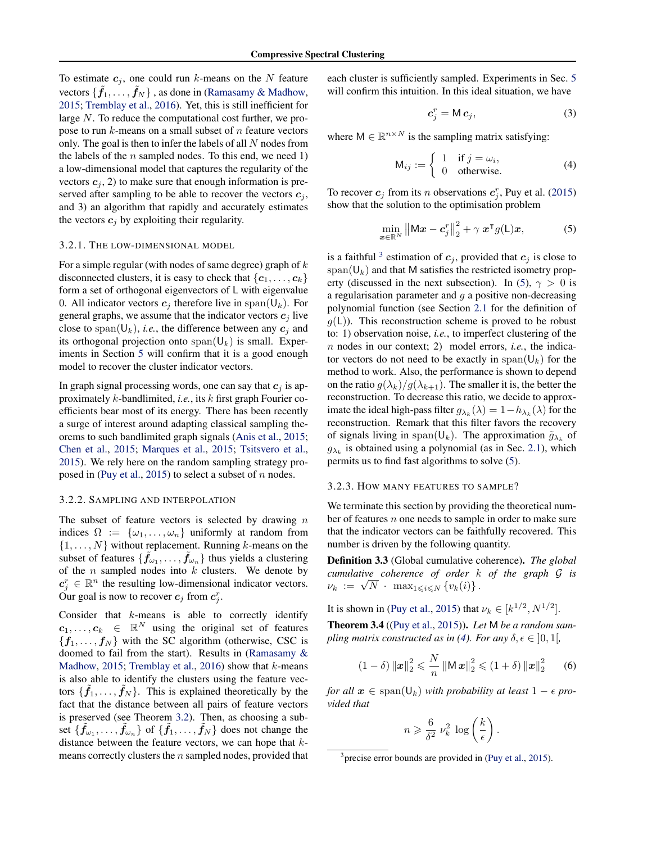<span id="page-3-0"></span>To estimate  $c_j$ , one could run k-means on the N feature vectors  $\{\tilde{f}_1,\ldots,\tilde{f}_N\}$  , as done in [\(Ramasamy & Madhow,](#page-9-0) [2015;](#page-9-0) [Tremblay et al.,](#page-9-0) [2016\)](#page-9-0). Yet, this is still inefficient for large N. To reduce the computational cost further, we propose to run  $k$ -means on a small subset of  $n$  feature vectors only. The goal is then to infer the labels of all N nodes from the labels of the  $n$  sampled nodes. To this end, we need 1) a low-dimensional model that captures the regularity of the vectors  $c_i$ , 2) to make sure that enough information is preserved after sampling to be able to recover the vectors  $c_j$ , and 3) an algorithm that rapidly and accurately estimates the vectors  $c_i$  by exploiting their regularity.

### 3.2.1. THE LOW-DIMENSIONAL MODEL

For a simple regular (with nodes of same degree) graph of  $k$ disconnected clusters, it is easy to check that  $\{c_1, \ldots, c_k\}$ form a set of orthogonal eigenvectors of L with eigenvalue 0. All indicator vectors  $c_j$  therefore live in span( $\mathsf{U}_k$ ). For general graphs, we assume that the indicator vectors  $c_j$  live close to span( $U_k$ ), *i.e.*, the difference between any  $c_i$  and its orthogonal projection onto  $\text{span}(\mathsf{U}_k)$  is small. Experiments in Section [5](#page-6-0) will confirm that it is a good enough model to recover the cluster indicator vectors.

In graph signal processing words, one can say that  $c_j$  is approximately k-bandlimited, *i.e.*, its k first graph Fourier coefficients bear most of its energy. There has been recently a surge of interest around adapting classical sampling theorems to such bandlimited graph signals [\(Anis et al.,](#page-8-0) [2015;](#page-8-0) [Chen et al.,](#page-8-0) [2015;](#page-8-0) [Marques et al.,](#page-8-0) [2015;](#page-8-0) [Tsitsvero et al.,](#page-9-0) [2015\)](#page-9-0). We rely here on the random sampling strategy pro-posed in [\(Puy et al.,](#page-9-0) [2015\)](#page-9-0) to select a subset of  $n$  nodes.

#### 3.2.2. SAMPLING AND INTERPOLATION

The subset of feature vectors is selected by drawing  $n$ indices  $\Omega := \{\omega_1, \ldots, \omega_n\}$  uniformly at random from  $\{1, \ldots, N\}$  without replacement. Running k-means on the subset of features  $\{\tilde{f}_{\omega_1}, \ldots, \tilde{f}_{\omega_n}\}$  thus yields a clustering of the  $n$  sampled nodes into  $k$  clusters. We denote by  $c_j^r \in \mathbb{R}^n$  the resulting low-dimensional indicator vectors. Our goal is now to recover  $c_j$  from  $c_j^r$ .

Consider that  $k$ -means is able to correctly identify  $c_1, \ldots, c_k \in \mathbb{R}^N$  using the original set of features  ${f_1, \ldots, f_N}$  with the SC algorithm (otherwise, CSC is doomed to fail from the start). Results in [\(Ramasamy &](#page-9-0) [Madhow,](#page-9-0) [2015;](#page-9-0) [Tremblay et al.,](#page-9-0) [2016\)](#page-9-0) show that  $k$ -means is also able to identify the clusters using the feature vectors  $\{\tilde{f}_1, \ldots, \tilde{f}_N\}$ . This is explained theoretically by the fact that the distance between all pairs of feature vectors is preserved (see Theorem [3.2\)](#page-2-0). Then, as choosing a subset  $\{\tilde{f}_{\omega_1},\ldots,\tilde{f}_{\omega_n}\}$  of  $\{\tilde{f}_1,\ldots,\tilde{f}_N\}$  does not change the distance between the feature vectors, we can hope that kmeans correctly clusters the n sampled nodes, provided that each cluster is sufficiently sampled. Experiments in Sec. [5](#page-6-0) will confirm this intuition. In this ideal situation, we have

$$
\boldsymbol{c}_j^r = \mathsf{M}\,\boldsymbol{c}_j,\tag{3}
$$

where  $M \in \mathbb{R}^{n \times N}$  is the sampling matrix satisfying:

$$
\mathsf{M}_{ij} := \begin{cases} 1 & \text{if } j = \omega_i, \\ 0 & \text{otherwise.} \end{cases} \tag{4}
$$

To recover  $c_j$  from its *n* observations  $c_j^r$ , Puy et al. [\(2015\)](#page-9-0) show that the solution to the optimisation problem

$$
\min_{\boldsymbol{x}\in\mathbb{R}^N} \left\| \mathbf{M}\boldsymbol{x} - \boldsymbol{c}_j^r \right\|_2^2 + \gamma \, \boldsymbol{x}^\mathsf{T} g(\mathsf{L})\boldsymbol{x},\tag{5}
$$

is a faithful <sup>3</sup> estimation of  $c_j$ , provided that  $c_j$  is close to span( $\mathsf{U}_k$ ) and that M satisfies the restricted isometry property (discussed in the next subsection). In (5),  $\gamma > 0$  is a regularisation parameter and  $q$  a positive non-decreasing polynomial function (see Section [2.1](#page-1-0) for the definition of  $g(L)$ ). This reconstruction scheme is proved to be robust to: 1) observation noise, *i.e.*, to imperfect clustering of the n nodes in our context; 2) model errors, *i.e.*, the indicator vectors do not need to be exactly in  $\text{span}(\mathsf{U}_k)$  for the method to work. Also, the performance is shown to depend on the ratio  $g(\lambda_k)/g(\lambda_{k+1})$ . The smaller it is, the better the reconstruction. To decrease this ratio, we decide to approximate the ideal high-pass filter  $g_{\lambda_k}(\lambda) = 1 - h_{\lambda_k}(\lambda)$  for the reconstruction. Remark that this filter favors the recovery of signals living in span( $\mathsf{U}_k$ ). The approximation  $\tilde{g}_{\lambda_k}$  of  $g_{\lambda_k}$  is obtained using a polynomial (as in Sec. [2.1\)](#page-1-0), which permits us to find fast algorithms to solve (5).

#### 3.2.3. HOW MANY FEATURES TO SAMPLE?

We terminate this section by providing the theoretical number of features  $n$  one needs to sample in order to make sure that the indicator vectors can be faithfully recovered. This number is driven by the following quantity.

Definition 3.3 (Global cumulative coherence). *The global cumulative coherence of order* k *of the graph* G *is* cumulative conerence of order  $\kappa$ <br> $\nu_k := \sqrt{N} \cdot \max_{1 \leqslant i \leqslant N} \{v_k(i)\}.$ 

It is shown in [\(Puy et al.,](#page-9-0) [2015\)](#page-9-0) that  $\nu_k \in [k^{1/2}, N^{1/2}]$ .

Theorem 3.4 ([\(Puy et al.,](#page-9-0) [2015\)](#page-9-0)). *Let* M *be a random sampling matrix constructed as in (4). For any*  $\delta, \epsilon \in [0, 1]$ ,

$$
(1 - \delta) \|x\|_2^2 \leqslant \frac{N}{n} \|Mx\|_2^2 \leqslant (1 + \delta) \|x\|_2^2 \qquad (6)
$$

*for all*  $x \in \text{span}(\mathsf{U}_k)$  *with probability at least*  $1 - \epsilon$  *provided that*

$$
n \geqslant \frac{6}{\delta^2} \nu_k^2 \, \log\left(\frac{k}{\epsilon}\right).
$$

<sup>&</sup>lt;sup>3</sup> precise error bounds are provided in [\(Puy et al.,](#page-9-0) [2015\)](#page-9-0).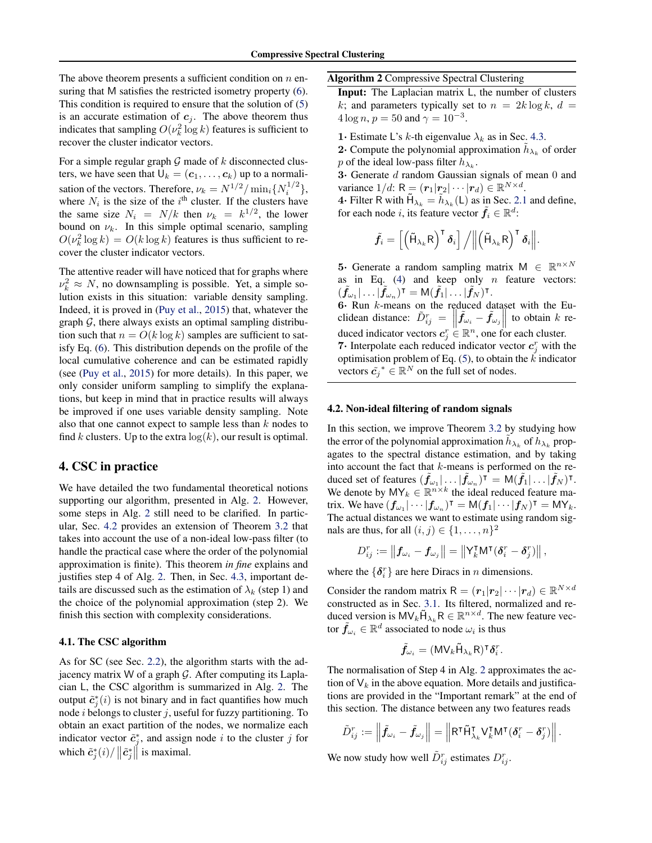<span id="page-4-0"></span>The above theorem presents a sufficient condition on  $n$  ensuring that M satisfies the restricted isometry property [\(6\)](#page-3-0). This condition is required to ensure that the solution of [\(5\)](#page-3-0) is an accurate estimation of  $c_j$ . The above theorem thus indicates that sampling  $O(\nu_k^2 \log k)$  features is sufficient to recover the cluster indicator vectors.

For a simple regular graph  $G$  made of  $k$  disconnected clusters, we have seen that  $U_k = (\mathbf{c}_1, \dots, \mathbf{c}_k)$  up to a normalisation of the vectors. Therefore,  $\nu_k = N^{1/2} / \min_i \{ N_i^{1/2} \},$ where  $N_i$  is the size of the  $i<sup>th</sup>$  cluster. If the clusters have the same size  $N_i = N/k$  then  $\nu_k = k^{1/2}$ , the lower bound on  $\nu_k$ . In this simple optimal scenario, sampling  $O(\nu_k^2 \log k) = O(k \log k)$  features is thus sufficient to recover the cluster indicator vectors.

The attentive reader will have noticed that for graphs where  $\nu_k^2 \approx N$ , no downsampling is possible. Yet, a simple solution exists in this situation: variable density sampling. Indeed, it is proved in [\(Puy et al.,](#page-9-0) [2015\)](#page-9-0) that, whatever the graph  $G$ , there always exists an optimal sampling distribution such that  $n = O(k \log k)$  samples are sufficient to satisfy Eq. [\(6\)](#page-3-0). This distribution depends on the profile of the local cumulative coherence and can be estimated rapidly (see [\(Puy et al.,](#page-9-0) [2015\)](#page-9-0) for more details). In this paper, we only consider uniform sampling to simplify the explanations, but keep in mind that in practice results will always be improved if one uses variable density sampling. Note also that one cannot expect to sample less than  $k$  nodes to find k clusters. Up to the extra  $log(k)$ , our result is optimal.

## 4. CSC in practice

We have detailed the two fundamental theoretical notions supporting our algorithm, presented in Alg. 2. However, some steps in Alg. 2 still need to be clarified. In particular, Sec. 4.2 provides an extension of Theorem [3.2](#page-2-0) that takes into account the use of a non-ideal low-pass filter (to handle the practical case where the order of the polynomial approximation is finite). This theorem *in fine* explains and justifies step 4 of Alg. 2. Then, in Sec. [4.3,](#page-5-0) important details are discussed such as the estimation of  $\lambda_k$  (step 1) and the choice of the polynomial approximation (step 2). We finish this section with complexity considerations.

## 4.1. The CSC algorithm

As for SC (see Sec. [2.2\)](#page-1-0), the algorithm starts with the adjacency matrix W of a graph  $\mathcal G$ . After computing its Laplacian L, the CSC algorithm is summarized in Alg. 2. The output  $\tilde{c}_j^*(i)$  is not binary and in fact quantifies how much node  $i$  belongs to cluster  $j$ , useful for fuzzy partitioning. To obtain an exact partition of the nodes, we normalize each indicator vector  $\tilde{c}_j^*$ , and assign node i to the cluster j for which  $\tilde{c}_j^*(i) / ||\tilde{c}_j^*||$  is maximal.

Algorithm 2 Compressive Spectral Clustering

Input: The Laplacian matrix L, the number of clusters k; and parameters typically set to  $n = 2k \log k$ ,  $d =$  $4 \log n, p = 50$  and  $\gamma = 10^{-3}$ .

- 1· Estimate L's k-th eigenvalue  $\lambda_k$  as in Sec. [4.3.](#page-5-0)
- **2** Compute the polynomial approximation  $\tilde{h}_{\lambda_k}$  of order p of the ideal low-pass filter  $h_{\lambda_k}$ .

3· Generate d random Gaussian signals of mean 0 and variance  $1/d$ :  $R = (\mathbf{r}_1|\mathbf{r}_2|\cdots|\mathbf{r}_d) \in \mathbb{R}^{N \times d}$ .

**4** • Filter R with  $\tilde{H}_{\lambda_k} = \tilde{h}_{\lambda_k}(\mathsf{L})$  as in Sec. [2.1](#page-1-0) and define, for each node i, its feature vector  $\tilde{f}_i \in \mathbb{R}^d$ :

$$
\tilde{\boldsymbol{f}}_{i}=\left[\left(\tilde{\boldsymbol{\mathsf{H}}}_{\lambda_{k}}\boldsymbol{\mathsf{R}}\right)^{{\sf T}}\boldsymbol{\delta}_{i}\right]\big/\Big\|\left(\tilde{\boldsymbol{\mathsf{H}}}_{\lambda_{k}}\boldsymbol{\mathsf{R}}\right)^{{\sf T}}\boldsymbol{\delta}_{i}\Big\|.
$$

**5** Generate a random sampling matrix  $M \in \mathbb{R}^{n \times N}$ as in Eq.  $(4)$  and keep only n feature vectors:  $(\tilde{f}_{\omega_1}|\dots|\tilde{f}_{\omega_n})^{\intercal}=\mathsf{M}(\tilde{f}_1|\dots|\tilde{f}_N)^{\intercal}.$ 

6· Run  $k$ -means on the reduced dataset with the Euclidean distance:  $\tilde{D}_{ij}^r = \left\| \tilde{f}_{\omega_i} - \tilde{f}_{\omega_j} \right\|$  to obtain k reduced indicator vectors  $c_j^r \stackrel{\shortparallel}{\in} \mathbb{R}^n$ , one for each cluster. **7** Interpolate each reduced indicator vector  $c_j^r$  with the optimisation problem of Eq.  $(5)$ , to obtain the  $\vec{k}$  indicator vectors  $\tilde{c}_j^* \in \mathbb{R}^N$  on the full set of nodes.

## 4.2. Non-ideal filtering of random signals

In this section, we improve Theorem [3.2](#page-2-0) by studying how the error of the polynomial approximation  $\tilde{h}_{\lambda_k}$  of  $h_{\lambda_k}$  propagates to the spectral distance estimation, and by taking into account the fact that  $k$ -means is performed on the reduced set of features  $(\tilde{f}_{\omega_1} | \dots | \tilde{f}_{\omega_n})^{\mathsf{T}} = \mathsf{M}(\tilde{f}_1 | \dots | \tilde{f}_N)^{\mathsf{T}}$ . We denote by  $MY_k \in \mathbb{R}^{n \times k}$  the ideal reduced feature matrix. We have  $(f_{\omega_1}|\cdots|f_{\omega_n})^{\mathsf{T}} = \mathsf{M}(f_1|\cdots|f_N)^{\mathsf{T}} = \mathsf{M}\mathsf{Y}_k$ . The actual distances we want to estimate using random signals are thus, for all  $(i, j) \in \{1, \ldots, n\}^2$ 

$$
D_{ij}^r:=\left\|\bm{f}_{\omega_i}-\bm{f}_{\omega_j}\right\|=\left\|\mathsf{Y}_k^{\intercal}\mathsf{M}^{\intercal}(\bm{\delta}_i^r-\bm{\delta}_j^r)\right\|,
$$

where the  $\{\delta_i^r\}$  are here Diracs in *n* dimensions.

Consider the random matrix  $R = (r_1|r_2| \cdots |r_d) \in \mathbb{R}^{N \times d}$ constructed as in Sec. [3.1.](#page-2-0) Its filtered, normalized and reduced version is  $MV_k\tilde{H}_{\lambda_k}R \in \mathbb{R}^{n \times d}$ . The new feature vector  $\tilde{f}_{\omega_i} \in \mathbb{R}^d$  associated to node  $\omega_i$  is thus

$$
\tilde{\boldsymbol{f}}_{\omega_i} = (\mathsf{MV}_k \tilde{\mathsf{H}}_{\lambda_k} \mathsf{R})^\intercal \boldsymbol{\delta}_i^r.
$$

The normalisation of Step 4 in Alg. 2 approximates the action of  $V_k$  in the above equation. More details and justifications are provided in the "Important remark" at the end of this section. The distance between any two features reads

$$
\tilde{D}_{ij}^r := \left\| \tilde{\boldsymbol{f}}_{\omega_i} - \tilde{\boldsymbol{f}}_{\omega_j} \right\| = \left\| R^{\intercal} \tilde{H}_{\lambda_k}^{\intercal} \mathsf{V}_k^{\intercal} M^{\intercal} (\boldsymbol{\delta}_i^r - \boldsymbol{\delta}_j^r) \right\|.
$$

We now study how well  $\tilde{D}_{ij}^r$  estimates  $D_{ij}^r$ .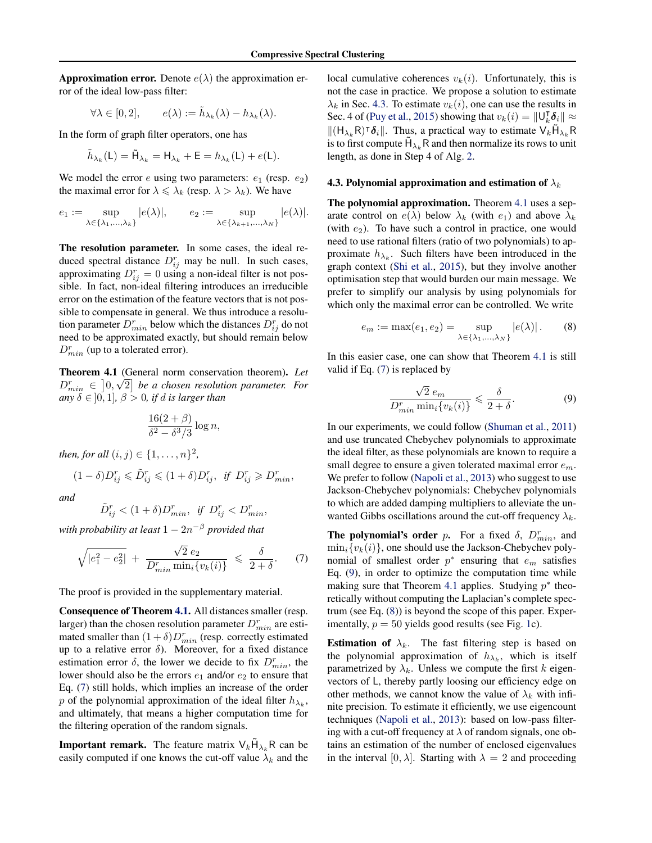<span id="page-5-0"></span>**Approximation error.** Denote  $e(\lambda)$  the approximation error of the ideal low-pass filter:

$$
\forall \lambda \in [0,2], \qquad e(\lambda) := \tilde{h}_{\lambda_k}(\lambda) - h_{\lambda_k}(\lambda).
$$

In the form of graph filter operators, one has

$$
\tilde{h}_{\lambda_k}(\mathsf{L}) = \tilde{\mathsf{H}}_{\lambda_k} = \mathsf{H}_{\lambda_k} + \mathsf{E} = h_{\lambda_k}(\mathsf{L}) + e(\mathsf{L}).
$$

We model the error  $e$  using two parameters:  $e_1$  (resp.  $e_2$ ) the maximal error for  $\lambda \leq \lambda_k$  (resp.  $\lambda > \lambda_k$ ). We have

$$
e_1 := \sup_{\lambda \in \{\lambda_1, \dots, \lambda_k\}} |e(\lambda)|, \qquad e_2 := \sup_{\lambda \in \{\lambda_{k+1}, \dots, \lambda_N\}} |e(\lambda)|.
$$

The resolution parameter. In some cases, the ideal reduced spectral distance  $D_{ij}^r$  may be null. In such cases, approximating  $D_{ij}^r = 0$  using a non-ideal filter is not possible. In fact, non-ideal filtering introduces an irreducible error on the estimation of the feature vectors that is not possible to compensate in general. We thus introduce a resolution parameter  $D_{min}^r$  below which the distances  $D_{ij}^r$  do not need to be approximated exactly, but should remain below  $D_{min}^r$  (up to a tolerated error).

Theorem 4.1 (General norm conservation theorem). *Let* √  $D_{min}^r \in [0, \sqrt{2}]$  be a chosen resolution parameter. For *any*  $\delta \in ]0,1]$ ,  $\beta > 0$ , *if d is larger than* 

$$
\frac{16(2+\beta)}{\delta^2 - \delta^3/3} \log n,
$$

*then, for all*  $(i, j) \in \{1, ..., n\}^2$ ,

$$
(1-\delta)D_{ij}^r\leqslant \tilde D_{ij}^r\leqslant (1+\delta)D_{ij}^r,\ \textit{if}\ \ D_{ij}^r\geqslant D_{min}^r,
$$

*and*

$$
\tilde{D}^r_{ij} < (1+\delta) D^r_{min}, \enspace \textit{if} \enspace D^r_{ij} < D^r_{min},
$$

*with probability at least* 1 − 2n <sup>−</sup><sup>β</sup> *provided that*

$$
\sqrt{|e_1^2 - e_2^2|} + \frac{\sqrt{2} e_2}{D_{\min}^r \min_i \{v_k(i)\}} \leq \frac{\delta}{2 + \delta}.
$$
 (7)

The proof is provided in the supplementary material.

Consequence of Theorem 4.1. All distances smaller (resp. larger) than the chosen resolution parameter  $D_{min}^r$  are estimated smaller than  $(1 + \delta)D_{min}^r$  (resp. correctly estimated up to a relative error  $\delta$ ). Moreover, for a fixed distance estimation error  $\delta$ , the lower we decide to fix  $D_{min}^r$ , the lower should also be the errors  $e_1$  and/or  $e_2$  to ensure that Eq. (7) still holds, which implies an increase of the order p of the polynomial approximation of the ideal filter  $h_{\lambda_k}$ , and ultimately, that means a higher computation time for the filtering operation of the random signals.

**Important remark.** The feature matrix  $V_k \tilde{H}_{\lambda_k} R$  can be easily computed if one knows the cut-off value  $\lambda_k$  and the local cumulative coherences  $v_k(i)$ . Unfortunately, this is not the case in practice. We propose a solution to estimate  $\lambda_k$  in Sec. 4.3. To estimate  $v_k(i)$ , one can use the results in Sec. 4 of [\(Puy et al.,](#page-9-0) [2015\)](#page-9-0) showing that  $v_k(i) = ||\mathbf{U}_k^{\mathsf{T}}||$  $_{k}^{\intercal}\boldsymbol{\delta}_{i}\|\approx$  $||(H_{\lambda_k}R)^\intercal \delta_i||$ . Thus, a practical way to estimate  $V_k \tilde{H}_{\lambda_k}R$ is to first compute  $\tilde{H}_{\lambda_k}$  R and then normalize its rows to unit length, as done in Step 4 of Alg. [2.](#page-4-0)

#### 4.3. Polynomial approximation and estimation of  $\lambda_k$

The polynomial approximation. Theorem 4.1 uses a separate control on  $e(\lambda)$  below  $\lambda_k$  (with  $e_1$ ) and above  $\lambda_k$ (with  $e_2$ ). To have such a control in practice, one would need to use rational filters (ratio of two polynomials) to approximate  $h_{\lambda_k}$ . Such filters have been introduced in the graph context [\(Shi et al.,](#page-9-0) [2015\)](#page-9-0), but they involve another optimisation step that would burden our main message. We prefer to simplify our analysis by using polynomials for which only the maximal error can be controlled. We write

$$
e_m := \max(e_1, e_2) = \sup_{\lambda \in \{\lambda_1, \dots, \lambda_N\}} |e(\lambda)|. \tag{8}
$$

In this easier case, one can show that Theorem 4.1 is still valid if Eq. (7) is replaced by

$$
\frac{\sqrt{2} e_m}{D_{min}^r \min_i \{v_k(i)\}} \leq \frac{\delta}{2 + \delta}.
$$
\n(9)

In our experiments, we could follow [\(Shuman et al.,](#page-9-0) [2011\)](#page-9-0) and use truncated Chebychev polynomials to approximate the ideal filter, as these polynomials are known to require a small degree to ensure a given tolerated maximal error  $e_m$ . We prefer to follow [\(Napoli et al.,](#page-8-0) [2013\)](#page-8-0) who suggest to use Jackson-Chebychev polynomials: Chebychev polynomials to which are added damping multipliers to alleviate the unwanted Gibbs oscillations around the cut-off frequency  $\lambda_k$ .

**The polynomial's order p.** For a fixed  $\delta$ ,  $D_{min}^r$ , and  $\min_i \{v_k(i)\}\)$ , one should use the Jackson-Chebychev polynomial of smallest order  $p^*$  ensuring that  $e_m$  satisfies Eq. (9), in order to optimize the computation time while making sure that Theorem 4.1 applies. Studying  $p^*$  theoretically without computing the Laplacian's complete spectrum (see Eq. (8)) is beyond the scope of this paper. Experimentally,  $p = 50$  yields good results (see Fig. [1c](#page-7-0)).

**Estimation of**  $\lambda_k$ . The fast filtering step is based on the polynomial approximation of  $h_{\lambda_k}$ , which is itself parametrized by  $\lambda_k$ . Unless we compute the first k eigenvectors of L, thereby partly loosing our efficiency edge on other methods, we cannot know the value of  $\lambda_k$  with infinite precision. To estimate it efficiently, we use eigencount techniques [\(Napoli et al.,](#page-8-0) [2013\)](#page-8-0): based on low-pass filtering with a cut-off frequency at  $\lambda$  of random signals, one obtains an estimation of the number of enclosed eigenvalues in the interval [0,  $\lambda$ ]. Starting with  $\lambda = 2$  and proceeding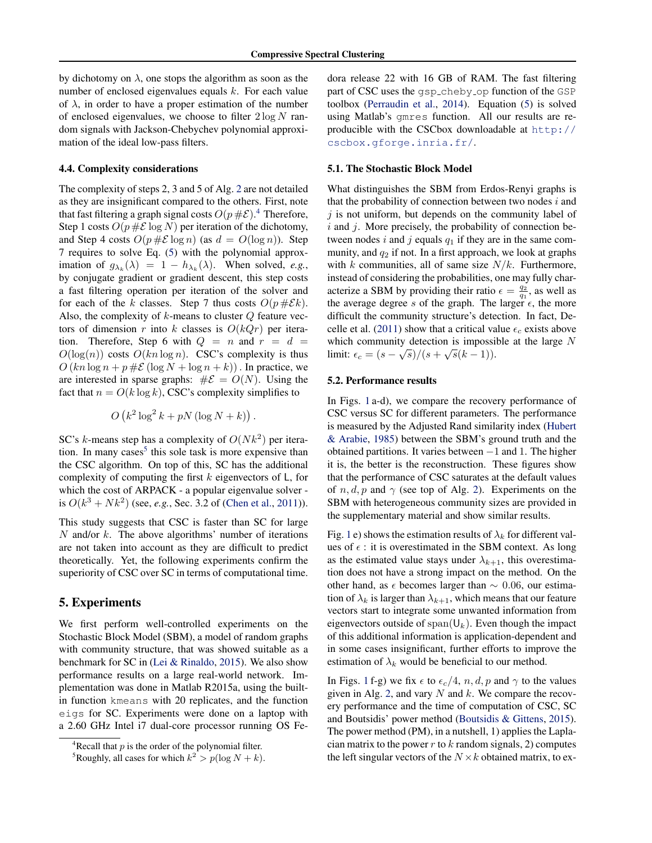<span id="page-6-0"></span>by dichotomy on  $\lambda$ , one stops the algorithm as soon as the number of enclosed eigenvalues equals  $k$ . For each value of  $\lambda$ , in order to have a proper estimation of the number of enclosed eigenvalues, we choose to filter  $2 \log N$  random signals with Jackson-Chebychev polynomial approximation of the ideal low-pass filters.

### 4.4. Complexity considerations

The complexity of steps 2, 3 and 5 of Alg. [2](#page-4-0) are not detailed as they are insignificant compared to the others. First, note that fast filtering a graph signal costs  $O(p \# \mathcal{E})$ .<sup>4</sup> Therefore, Step 1 costs  $O(p \# \mathcal{E} \log N)$  per iteration of the dichotomy, and Step 4 costs  $O(p \# \mathcal{E} \log n)$  (as  $d = O(\log n)$ ). Step 7 requires to solve Eq. [\(5\)](#page-3-0) with the polynomial approximation of  $g_{\lambda_k}(\lambda) = 1 - h_{\lambda_k}(\lambda)$ . When solved, *e.g.*, by conjugate gradient or gradient descent, this step costs a fast filtering operation per iteration of the solver and for each of the k classes. Step 7 thus costs  $O(p \# \mathcal{E} k)$ . Also, the complexity of  $k$ -means to cluster  $Q$  feature vectors of dimension r into k classes is  $O(kQr)$  per iteration. Therefore, Step 6 with  $Q = n$  and  $r = d$  $O(\log(n))$  costs  $O(kn \log n)$ . CSC's complexity is thus  $O(kn \log n + p \# \mathcal{E} (\log N + \log n + k))$ . In practice, we are interested in sparse graphs:  $\#\mathcal{E} = O(N)$ . Using the fact that  $n = O(k \log k)$ , CSC's complexity simplifies to

$$
O(k^2\log^2 k + pN(\log N + k)).
$$

SC's k-means step has a complexity of  $O(Nk^2)$  per iteration. In many cases<sup>5</sup> this sole task is more expensive than the CSC algorithm. On top of this, SC has the additional complexity of computing the first  $k$  eigenvectors of  $\mathsf{L}$ , for which the cost of ARPACK - a popular eigenvalue solver is  $O(k^3 + Nk^2)$  (see, *e.g.*, Sec. 3.2 of [\(Chen et al.,](#page-8-0) [2011\)](#page-8-0)).

This study suggests that CSC is faster than SC for large  $N$  and/or  $k$ . The above algorithms' number of iterations are not taken into account as they are difficult to predict theoretically. Yet, the following experiments confirm the superiority of CSC over SC in terms of computational time.

## 5. Experiments

We first perform well-controlled experiments on the Stochastic Block Model (SBM), a model of random graphs with community structure, that was showed suitable as a benchmark for SC in [\(Lei & Rinaldo,](#page-8-0) [2015\)](#page-8-0). We also show performance results on a large real-world network. Implementation was done in Matlab R2015a, using the builtin function kmeans with 20 replicates, and the function eigs for SC. Experiments were done on a laptop with a 2.60 GHz Intel i7 dual-core processor running OS Fedora release 22 with 16 GB of RAM. The fast filtering part of CSC uses the gsp\_cheby\_op function of the GSP toolbox [\(Perraudin et al.,](#page-9-0) [2014\)](#page-9-0). Equation [\(5\)](#page-3-0) is solved using Matlab's gmres function. All our results are reproducible with the CSCbox downloadable at [http://](http://cscbox.gforge.inria.fr/) [cscbox.gforge.inria.fr/](http://cscbox.gforge.inria.fr/).

## 5.1. The Stochastic Block Model

What distinguishes the SBM from Erdos-Renyi graphs is that the probability of connection between two nodes  $i$  and  $j$  is not uniform, but depends on the community label of  $i$  and  $j$ . More precisely, the probability of connection between nodes i and j equals  $q_1$  if they are in the same community, and  $q_2$  if not. In a first approach, we look at graphs with k communities, all of same size  $N/k$ . Furthermore, instead of considering the probabilities, one may fully characterize a SBM by providing their ratio  $\epsilon = \frac{q_2}{q_1}$ , as well as the average degree s of the graph. The larger  $\epsilon$ , the more difficult the community structure's detection. In fact, De-celle et al. [\(2011\)](#page-8-0) show that a critical value  $\epsilon_c$  exists above which community detection is impossible at the large N limit:  $\epsilon_c = (s - \sqrt{s})/(s + \sqrt{s}(k-1)).$ 

### 5.2. Performance results

In Figs. [1](#page-7-0) a-d), we compare the recovery performance of CSC versus SC for different parameters. The performance is measured by the Adjusted Rand similarity index [\(Hubert](#page-8-0) [& Arabie,](#page-8-0) [1985\)](#page-8-0) between the SBM's ground truth and the obtained partitions. It varies between −1 and 1. The higher it is, the better is the reconstruction. These figures show that the performance of CSC saturates at the default values of  $n, d, p$  and  $\gamma$  (see top of Alg. [2\)](#page-4-0). Experiments on the SBM with heterogeneous community sizes are provided in the supplementary material and show similar results.

Fig. [1](#page-7-0) e) shows the estimation results of  $\lambda_k$  for different values of  $\epsilon$  : it is overestimated in the SBM context. As long as the estimated value stays under  $\lambda_{k+1}$ , this overestimation does not have a strong impact on the method. On the other hand, as  $\epsilon$  becomes larger than  $\sim$  0.06, our estimation of  $\lambda_k$  is larger than  $\lambda_{k+1}$ , which means that our feature vectors start to integrate some unwanted information from eigenvectors outside of span( $\mathsf{U}_k$ ). Even though the impact of this additional information is application-dependent and in some cases insignificant, further efforts to improve the estimation of  $\lambda_k$  would be beneficial to our method.

In Figs. [1](#page-7-0) f-g) we fix  $\epsilon$  to  $\epsilon_c/4$ , n, d, p and  $\gamma$  to the values given in Alg. [2,](#page-4-0) and vary N and k. We compare the recovery performance and the time of computation of CSC, SC and Boutsidis' power method [\(Boutsidis & Gittens,](#page-8-0) [2015\)](#page-8-0). The power method (PM), in a nutshell, 1) applies the Laplacian matrix to the power  $r$  to  $k$  random signals, 2) computes the left singular vectors of the  $N \times k$  obtained matrix, to ex-

 $4$ Recall that p is the order of the polynomial filter.

<sup>&</sup>lt;sup>5</sup>Roughly, all cases for which  $k^2 > p(\log N + k)$ .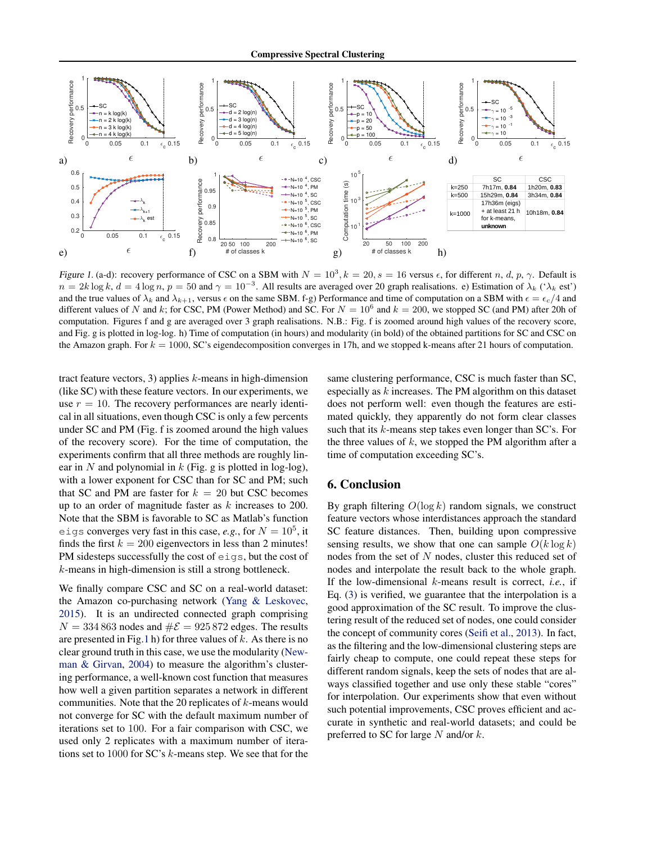<span id="page-7-0"></span>

Figure 1. (a-d): recovery performance of CSC on a SBM with  $N = 10^3$ ,  $k = 20$ ,  $s = 16$  versus  $\epsilon$ , for different n, d, p,  $\gamma$ . Default is  $n = 2k \log k$ ,  $d = 4 \log n$ ,  $p = 50$  and  $\gamma = 10^{-3}$ . All results are averaged over 20 graph realisations. e) Estimation of  $\lambda_k$  (' $\lambda_k$  est') and the true values of  $\lambda_k$  and  $\lambda_{k+1}$ , versus  $\epsilon$  on the same SBM. f-g) Performance and time of computation on a SBM with  $\epsilon = \epsilon_c/4$  and different values of N and k; for CSC, PM (Power Method) and SC. For  $N = 10^6$  and  $k = 200$ , we stopped SC (and PM) after 20h of computation. Figures f and g are averaged over 3 graph realisations. N.B.: Fig. f is zoomed around high values of the recovery score, and Fig. g is plotted in log-log. h) Time of computation (in hours) and modularity (in bold) of the obtained partitions for SC and CSC on the Amazon graph. For  $k = 1000$ , SC's eigendecomposition converges in 17h, and we stopped k-means after 21 hours of computation.

tract feature vectors, 3) applies  $k$ -means in high-dimension (like SC) with these feature vectors. In our experiments, we use  $r = 10$ . The recovery performances are nearly identical in all situations, even though CSC is only a few percents under SC and PM (Fig. f is zoomed around the high values of the recovery score). For the time of computation, the experiments confirm that all three methods are roughly linear in  $N$  and polynomial in  $k$  (Fig. g is plotted in log-log), with a lower exponent for CSC than for SC and PM; such that SC and PM are faster for  $k = 20$  but CSC becomes up to an order of magnitude faster as k increases to 200. Note that the SBM is favorable to SC as Matlab's function eigs converges very fast in this case, *e.g.*, for  $N = 10^5$ , it finds the first  $k = 200$  eigenvectors in less than 2 minutes! PM sidesteps successfully the cost of eigs, but the cost of k-means in high-dimension is still a strong bottleneck.

We finally compare CSC and SC on a real-world dataset: the Amazon co-purchasing network [\(Yang & Leskovec,](#page-9-0) [2015\)](#page-9-0). It is an undirected connected graph comprising  $N = 334 863$  nodes and  $\#\mathcal{E} = 925 872$  edges. The results are presented in Fig.1 h) for three values of  $k$ . As there is no clear ground truth in this case, we use the modularity [\(New](#page-8-0)[man & Girvan,](#page-8-0) [2004\)](#page-8-0) to measure the algorithm's clustering performance, a well-known cost function that measures how well a given partition separates a network in different communities. Note that the 20 replicates of  $k$ -means would not converge for SC with the default maximum number of iterations set to 100. For a fair comparison with CSC, we used only 2 replicates with a maximum number of iterations set to 1000 for SC's k-means step. We see that for the same clustering performance, CSC is much faster than SC, especially as  $k$  increases. The PM algorithm on this dataset does not perform well: even though the features are estimated quickly, they apparently do not form clear classes such that its k-means step takes even longer than SC's. For the three values of  $k$ , we stopped the PM algorithm after a time of computation exceeding SC's.

## 6. Conclusion

By graph filtering  $O(\log k)$  random signals, we construct feature vectors whose interdistances approach the standard SC feature distances. Then, building upon compressive sensing results, we show that one can sample  $O(k \log k)$ nodes from the set of N nodes, cluster this reduced set of nodes and interpolate the result back to the whole graph. If the low-dimensional k-means result is correct, *i.e.*, if Eq. [\(3\)](#page-3-0) is verified, we guarantee that the interpolation is a good approximation of the SC result. To improve the clustering result of the reduced set of nodes, one could consider the concept of community cores [\(Seifi et al.,](#page-9-0) [2013\)](#page-9-0). In fact, as the filtering and the low-dimensional clustering steps are fairly cheap to compute, one could repeat these steps for different random signals, keep the sets of nodes that are always classified together and use only these stable "cores" for interpolation. Our experiments show that even without such potential improvements, CSC proves efficient and accurate in synthetic and real-world datasets; and could be preferred to SC for large  $N$  and/or  $k$ .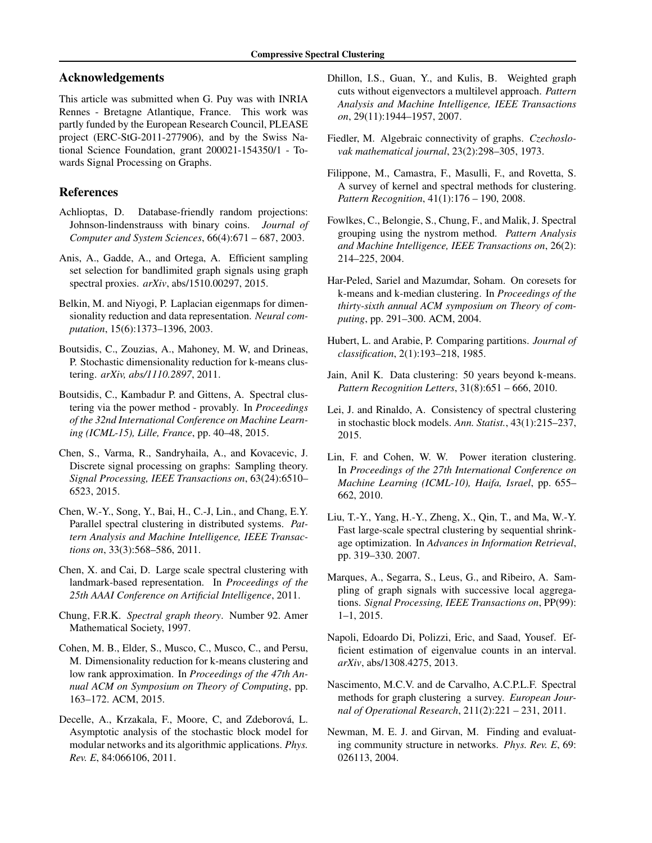## <span id="page-8-0"></span>Acknowledgements

This article was submitted when G. Puy was with INRIA Rennes - Bretagne Atlantique, France. This work was partly funded by the European Research Council, PLEASE project (ERC-StG-2011-277906), and by the Swiss National Science Foundation, grant 200021-154350/1 - Towards Signal Processing on Graphs.

# References

- Achlioptas, D. Database-friendly random projections: Johnson-lindenstrauss with binary coins. *Journal of Computer and System Sciences*, 66(4):671 – 687, 2003.
- Anis, A., Gadde, A., and Ortega, A. Efficient sampling set selection for bandlimited graph signals using graph spectral proxies. *arXiv*, abs/1510.00297, 2015.
- Belkin, M. and Niyogi, P. Laplacian eigenmaps for dimensionality reduction and data representation. *Neural computation*, 15(6):1373–1396, 2003.
- Boutsidis, C., Zouzias, A., Mahoney, M. W, and Drineas, P. Stochastic dimensionality reduction for k-means clustering. *arXiv, abs/1110.2897*, 2011.
- Boutsidis, C., Kambadur P. and Gittens, A. Spectral clustering via the power method - provably. In *Proceedings of the 32nd International Conference on Machine Learning (ICML-15), Lille, France*, pp. 40–48, 2015.
- Chen, S., Varma, R., Sandryhaila, A., and Kovacevic, J. Discrete signal processing on graphs: Sampling theory. *Signal Processing, IEEE Transactions on*, 63(24):6510– 6523, 2015.
- Chen, W.-Y., Song, Y., Bai, H., C.-J, Lin., and Chang, E.Y. Parallel spectral clustering in distributed systems. *Pattern Analysis and Machine Intelligence, IEEE Transactions on*, 33(3):568–586, 2011.
- Chen, X. and Cai, D. Large scale spectral clustering with landmark-based representation. In *Proceedings of the 25th AAAI Conference on Artificial Intelligence*, 2011.
- Chung, F.R.K. *Spectral graph theory*. Number 92. Amer Mathematical Society, 1997.
- Cohen, M. B., Elder, S., Musco, C., Musco, C., and Persu, M. Dimensionality reduction for k-means clustering and low rank approximation. In *Proceedings of the 47th Annual ACM on Symposium on Theory of Computing*, pp. 163–172. ACM, 2015.
- Decelle, A., Krzakala, F., Moore, C. and Zdeborová, L. Asymptotic analysis of the stochastic block model for modular networks and its algorithmic applications. *Phys. Rev. E*, 84:066106, 2011.
- Dhillon, I.S., Guan, Y., and Kulis, B. Weighted graph cuts without eigenvectors a multilevel approach. *Pattern Analysis and Machine Intelligence, IEEE Transactions on*, 29(11):1944–1957, 2007.
- Fiedler, M. Algebraic connectivity of graphs. *Czechoslovak mathematical journal*, 23(2):298–305, 1973.
- Filippone, M., Camastra, F., Masulli, F., and Rovetta, S. A survey of kernel and spectral methods for clustering. *Pattern Recognition*, 41(1):176 – 190, 2008.
- Fowlkes, C., Belongie, S., Chung, F., and Malik, J. Spectral grouping using the nystrom method. *Pattern Analysis and Machine Intelligence, IEEE Transactions on*, 26(2): 214–225, 2004.
- Har-Peled, Sariel and Mazumdar, Soham. On coresets for k-means and k-median clustering. In *Proceedings of the thirty-sixth annual ACM symposium on Theory of computing*, pp. 291–300. ACM, 2004.
- Hubert, L. and Arabie, P. Comparing partitions. *Journal of classification*, 2(1):193–218, 1985.
- Jain, Anil K. Data clustering: 50 years beyond k-means. *Pattern Recognition Letters*, 31(8):651 – 666, 2010.
- Lei, J. and Rinaldo, A. Consistency of spectral clustering in stochastic block models. *Ann. Statist.*, 43(1):215–237, 2015.
- Lin, F. and Cohen, W. W. Power iteration clustering. In *Proceedings of the 27th International Conference on Machine Learning (ICML-10), Haifa, Israel*, pp. 655– 662, 2010.
- Liu, T.-Y., Yang, H.-Y., Zheng, X., Qin, T., and Ma, W.-Y. Fast large-scale spectral clustering by sequential shrinkage optimization. In *Advances in Information Retrieval*, pp. 319–330. 2007.
- Marques, A., Segarra, S., Leus, G., and Ribeiro, A. Sampling of graph signals with successive local aggregations. *Signal Processing, IEEE Transactions on*, PP(99): 1–1, 2015.
- Napoli, Edoardo Di, Polizzi, Eric, and Saad, Yousef. Efficient estimation of eigenvalue counts in an interval. *arXiv*, abs/1308.4275, 2013.
- Nascimento, M.C.V. and de Carvalho, A.C.P.L.F. Spectral methods for graph clustering a survey. *European Journal of Operational Research*, 211(2):221 – 231, 2011.
- Newman, M. E. J. and Girvan, M. Finding and evaluating community structure in networks. *Phys. Rev. E*, 69: 026113, 2004.